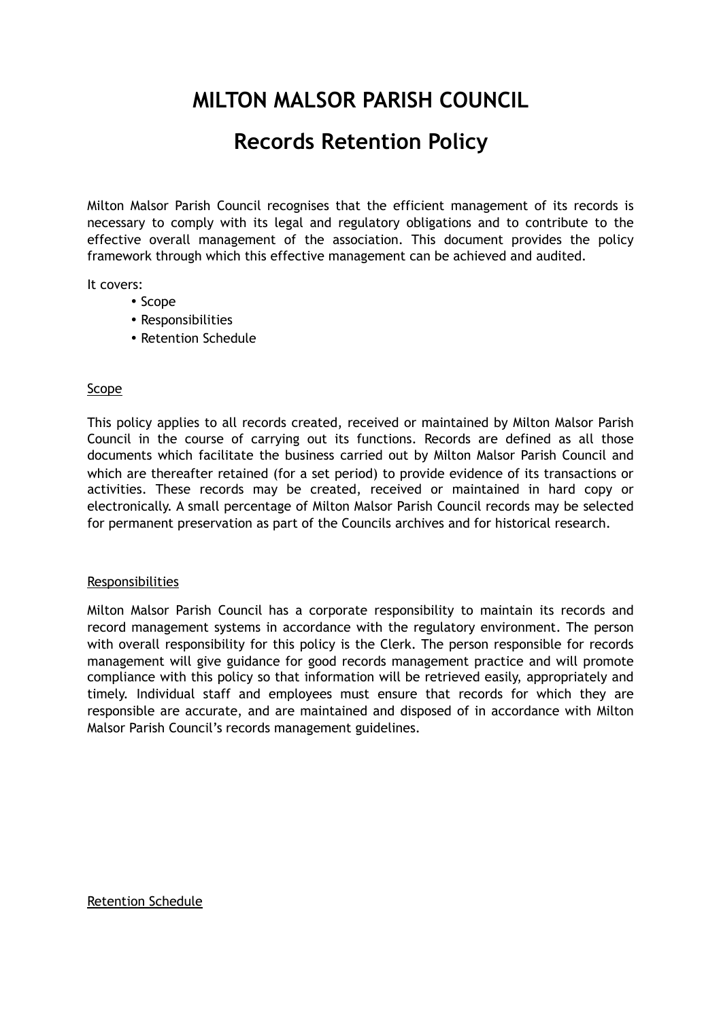## **MILTON MALSOR PARISH COUNCIL**

## **Records Retention Policy**

Milton Malsor Parish Council recognises that the efficient management of its records is necessary to comply with its legal and regulatory obligations and to contribute to the effective overall management of the association. This document provides the policy framework through which this effective management can be achieved and audited.

It covers:

- Scope
- Responsibilities
- Retention Schedule

## Scope

This policy applies to all records created, received or maintained by Milton Malsor Parish Council in the course of carrying out its functions. Records are defined as all those documents which facilitate the business carried out by Milton Malsor Parish Council and which are thereafter retained (for a set period) to provide evidence of its transactions or activities. These records may be created, received or maintained in hard copy or electronically. A small percentage of Milton Malsor Parish Council records may be selected for permanent preservation as part of the Councils archives and for historical research.

## Responsibilities

Milton Malsor Parish Council has a corporate responsibility to maintain its records and record management systems in accordance with the regulatory environment. The person with overall responsibility for this policy is the Clerk. The person responsible for records management will give guidance for good records management practice and will promote compliance with this policy so that information will be retrieved easily, appropriately and timely. Individual staff and employees must ensure that records for which they are responsible are accurate, and are maintained and disposed of in accordance with Milton Malsor Parish Council's records management guidelines.

Retention Schedule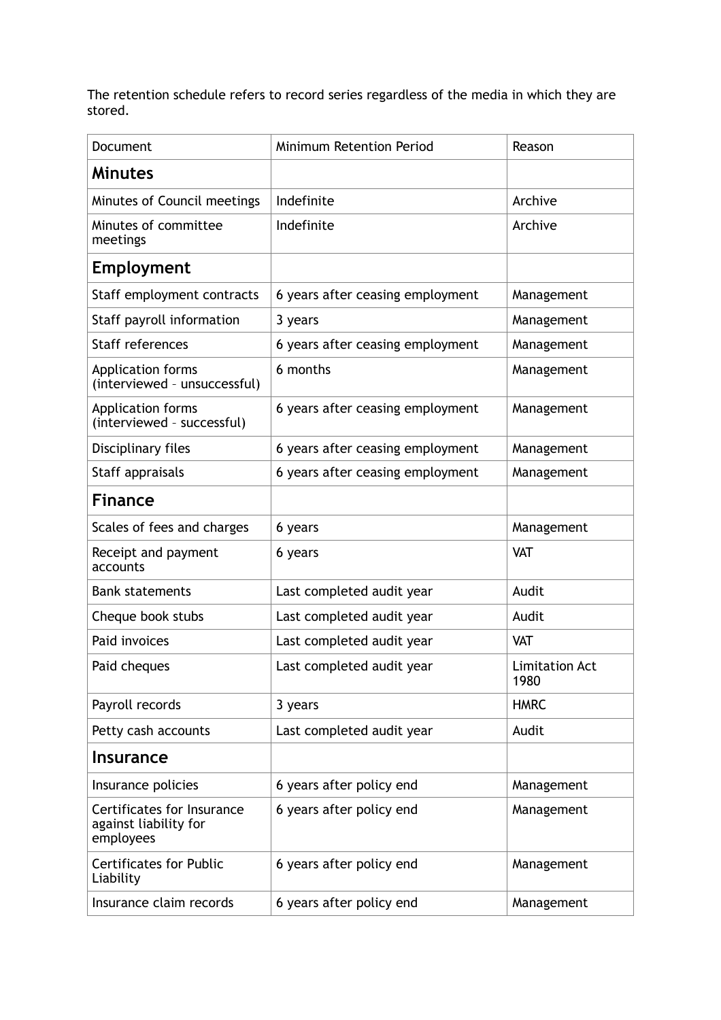The retention schedule refers to record series regardless of the media in which they are stored.

| Document                                                         | <b>Minimum Retention Period</b>  | Reason                        |
|------------------------------------------------------------------|----------------------------------|-------------------------------|
| <b>Minutes</b>                                                   |                                  |                               |
| Minutes of Council meetings                                      | Indefinite                       | Archive                       |
| Minutes of committee<br>meetings                                 | Indefinite                       | Archive                       |
| <b>Employment</b>                                                |                                  |                               |
| Staff employment contracts                                       | 6 years after ceasing employment | Management                    |
| Staff payroll information                                        | 3 years                          | Management                    |
| Staff references                                                 | 6 years after ceasing employment | Management                    |
| <b>Application forms</b><br>(interviewed - unsuccessful)         | 6 months                         | Management                    |
| <b>Application forms</b><br>(interviewed - successful)           | 6 years after ceasing employment | Management                    |
| Disciplinary files                                               | 6 years after ceasing employment | Management                    |
| Staff appraisals                                                 | 6 years after ceasing employment | Management                    |
| <b>Finance</b>                                                   |                                  |                               |
| Scales of fees and charges                                       | 6 years                          | Management                    |
| Receipt and payment<br>accounts                                  | 6 years                          | <b>VAT</b>                    |
| <b>Bank statements</b>                                           | Last completed audit year        | Audit                         |
| Cheque book stubs                                                | Last completed audit year        | Audit                         |
| Paid invoices                                                    | Last completed audit year        | <b>VAT</b>                    |
| Paid cheques                                                     | Last completed audit year        | <b>Limitation Act</b><br>1980 |
| Payroll records                                                  | 3 years                          | <b>HMRC</b>                   |
| Petty cash accounts                                              | Last completed audit year        | Audit                         |
| <b>Insurance</b>                                                 |                                  |                               |
| Insurance policies                                               | 6 years after policy end         | Management                    |
| Certificates for Insurance<br>against liability for<br>employees | 6 years after policy end         | Management                    |
| <b>Certificates for Public</b><br>Liability                      | 6 years after policy end         | Management                    |
| Insurance claim records                                          | 6 years after policy end         | Management                    |